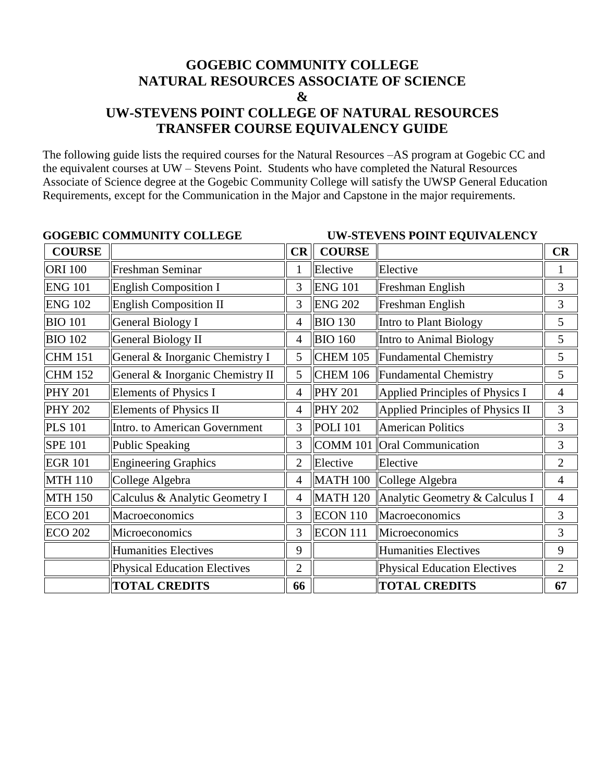## **GOGEBIC COMMUNITY COLLEGE NATURAL RESOURCES ASSOCIATE OF SCIENCE & UW-STEVENS POINT COLLEGE OF NATURAL RESOURCES TRANSFER COURSE EQUIVALENCY GUIDE**

The following guide lists the required courses for the Natural Resources –AS program at Gogebic CC and the equivalent courses at UW – Stevens Point. Students who have completed the Natural Resources Associate of Science degree at the Gogebic Community College will satisfy the UWSP General Education Requirements, except for the Communication in the Major and Capstone in the major requirements.

| <b>GOGEBIC COMMUNITY COLLEGE</b> |                                     |                | <b>UW-STEVENS POINT EQUIVALENCY</b> |                                     |                |
|----------------------------------|-------------------------------------|----------------|-------------------------------------|-------------------------------------|----------------|
| <b>COURSE</b>                    |                                     | CR             | <b>COURSE</b>                       |                                     | CR             |
| <b>ORI 100</b>                   | Freshman Seminar                    |                | Elective                            | Elective                            | 1              |
| <b>ENG 101</b>                   | English Composition I               | 3              | <b>ENG 101</b>                      | Freshman English                    | 3              |
| <b>ENG 102</b>                   | <b>English Composition II</b>       | 3              | <b>ENG 202</b>                      | Freshman English                    | 3              |
| <b>BIO 101</b>                   | <b>General Biology I</b>            | 4              | <b>BIO 130</b>                      | Intro to Plant Biology              | 5              |
| <b>BIO 102</b>                   | <b>General Biology II</b>           | $\overline{4}$ | <b>BIO 160</b>                      | Intro to Animal Biology             | 5              |
| <b>CHM 151</b>                   | General & Inorganic Chemistry I     | 5              | <b>CHEM 105</b>                     | Fundamental Chemistry               | 5              |
| <b>CHM 152</b>                   | General & Inorganic Chemistry II    | 5              | <b>CHEM 106</b>                     | <b>Fundamental Chemistry</b>        | 5              |
| <b>PHY 201</b>                   | Elements of Physics I               | 4              | <b>PHY 201</b>                      | Applied Principles of Physics I     | $\overline{4}$ |
| <b>PHY 202</b>                   | <b>Elements of Physics II</b>       | 4              | <b>PHY 202</b>                      | Applied Principles of Physics II    | 3              |
| <b>PLS 101</b>                   | Intro. to American Government       | 3              | <b>POLI</b> 101                     | <b>American Politics</b>            | 3              |
| <b>SPE 101</b>                   | Public Speaking                     | 3              | <b>COMM 101</b>                     | <b>Oral Communication</b>           | 3              |
| <b>EGR 101</b>                   | Engineering Graphics                | $\overline{2}$ | Elective                            | Elective                            | $\overline{2}$ |
| <b>MTH 110</b>                   | College Algebra                     | $\overline{4}$ | <b>MATH 100</b>                     | College Algebra                     | $\overline{4}$ |
| <b>MTH 150</b>                   | Calculus & Analytic Geometry I      | 4              | <b>MATH 120</b>                     | Analytic Geometry & Calculus I      | $\overline{4}$ |
| <b>ECO 201</b>                   | Macroeconomics                      | 3              | <b>ECON 110</b>                     | Macroeconomics                      | 3              |
| <b>ECO 202</b>                   | Microeconomics                      | 3              | ECON 111                            | Microeconomics                      | 3              |
|                                  | <b>Humanities Electives</b>         | 9              |                                     | Humanities Electives                | 9              |
|                                  | <b>Physical Education Electives</b> | $\overline{2}$ |                                     | <b>Physical Education Electives</b> | $\overline{2}$ |
|                                  | <b>TOTAL CREDITS</b>                | 66             |                                     | <b>TOTAL CREDITS</b>                | 67             |